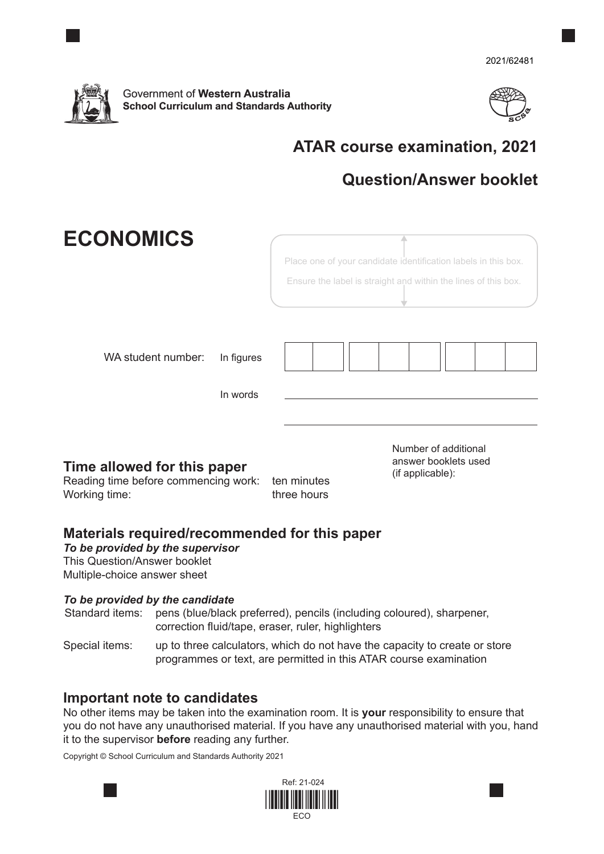



# **ATAR course examination, 2021**

## **Question/Answer booklet**

| <b>ECONOMICS</b>                                                                     |                        |                            | Place one of your candidate identification labels in this box.<br>Ensure the label is straight and within the lines of this box. |  |
|--------------------------------------------------------------------------------------|------------------------|----------------------------|----------------------------------------------------------------------------------------------------------------------------------|--|
| WA student number:                                                                   | In figures<br>In words |                            |                                                                                                                                  |  |
| Time allowed for this paper<br>Reading time before commencing work:<br>Working time: |                        | ten minutes<br>three hours | Number of additional<br>answer booklets used<br>(if applicable):                                                                 |  |

## **Materials required/recommended for this paper**

*To be provided by the supervisor* This Question/Answer booklet Multiple-choice answer sheet

#### *To be provided by the candidate*

Standard items: pens (blue/black preferred), pencils (including coloured), sharpener, correction fluid/tape, eraser, ruler, highlighters

Special items: up to three calculators, which do not have the capacity to create or store programmes or text, are permitted in this ATAR course examination

## **Important note to candidates**

No other items may be taken into the examination room. It is **your** responsibility to ensure that you do not have any unauthorised material. If you have any unauthorised material with you, hand it to the supervisor **before** reading any further.

Copyright © School Curriculum and Standards Authority 2021

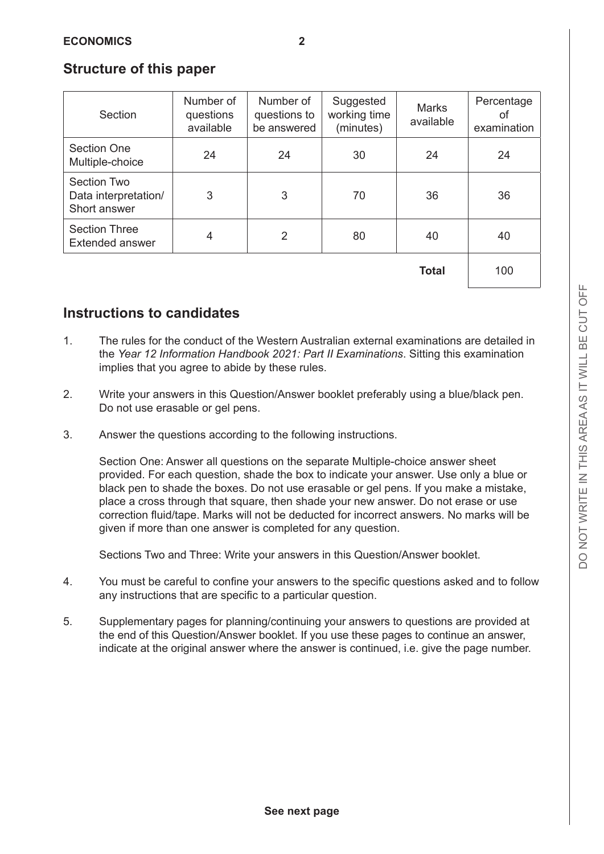#### **Structure of this paper**

| Section                                                    | Number of<br>questions<br>available | Number of<br>questions to<br>be answered | Suggested<br>working time<br>(minutes) | <b>Marks</b><br>available | Percentage<br>οf<br>examination |
|------------------------------------------------------------|-------------------------------------|------------------------------------------|----------------------------------------|---------------------------|---------------------------------|
| <b>Section One</b><br>Multiple-choice                      | 24                                  | 24                                       | 30                                     | 24                        | 24                              |
| <b>Section Two</b><br>Data interpretation/<br>Short answer | 3                                   | 3                                        | 70                                     | 36                        | 36                              |
| <b>Section Three</b><br><b>Extended answer</b>             | $\overline{4}$                      | 2                                        | 80                                     | 40                        | 40                              |
|                                                            |                                     |                                          |                                        | <b>Total</b>              | 100                             |

**Total** 100

## **Instructions to candidates**

- 1. The rules for the conduct of the Western Australian external examinations are detailed in the *Year 12 Information Handbook 2021: Part II Examinations*. Sitting this examination implies that you agree to abide by these rules.
- 2. Write your answers in this Question/Answer booklet preferably using a blue/black pen. Do not use erasable or gel pens.
- 3. Answer the questions according to the following instructions.

Section One: Answer all questions on the separate Multiple-choice answer sheet provided. For each question, shade the box to indicate your answer. Use only a blue or black pen to shade the boxes. Do not use erasable or gel pens. If you make a mistake, place a cross through that square, then shade your new answer. Do not erase or use correction fluid/tape. Marks will not be deducted for incorrect answers. No marks will be given if more than one answer is completed for any question.

Sections Two and Three: Write your answers in this Question/Answer booklet.

- 4. You must be careful to confine your answers to the specific questions asked and to follow any instructions that are specific to a particular question.
- 5. Supplementary pages for planning/continuing your answers to questions are provided at the end of this Question/Answer booklet. If you use these pages to continue an answer, indicate at the original answer where the answer is continued, i.e. give the page number.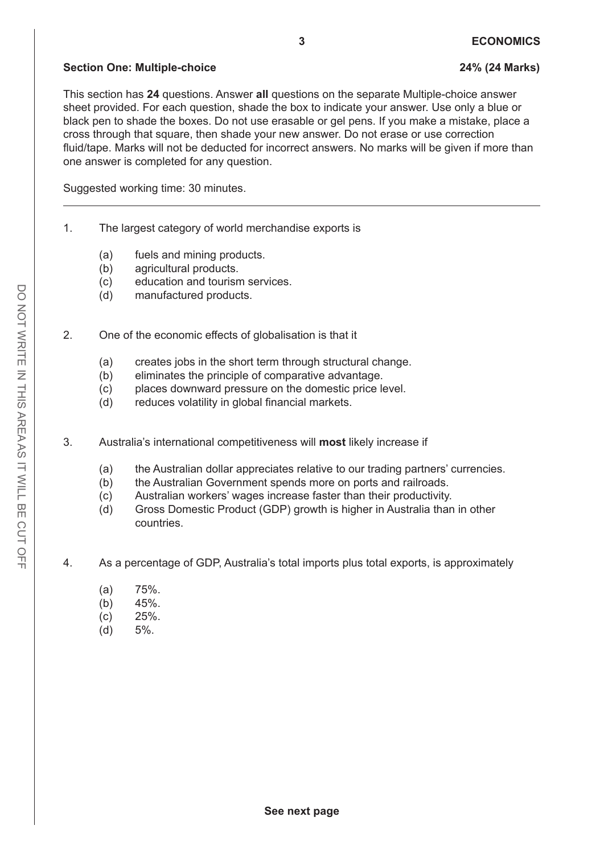#### **Section One: Multiple-choice 24% (24 Marks)**

This section has **24** questions. Answer **all** questions on the separate Multiple-choice answer sheet provided. For each question, shade the box to indicate your answer. Use only a blue or black pen to shade the boxes. Do not use erasable or gel pens. If you make a mistake, place a cross through that square, then shade your new answer. Do not erase or use correction fluid/tape. Marks will not be deducted for incorrect answers. No marks will be given if more than one answer is completed for any question.

Suggested working time: 30 minutes.

- 1. The largest category of world merchandise exports is
	- (a) fuels and mining products.
	- (b) agricultural products.
	- (c) education and tourism services.
	- (d) manufactured products.
- 2. One of the economic effects of globalisation is that it
	- (a) creates jobs in the short term through structural change.
	- (b) eliminates the principle of comparative advantage.
	- (c) places downward pressure on the domestic price level.
	- (d) reduces volatility in global financial markets.
- 3. Australia's international competitiveness will **most** likely increase if
	- (a) the Australian dollar appreciates relative to our trading partners' currencies.
	- (b) the Australian Government spends more on ports and railroads.
	- (c) Australian workers' wages increase faster than their productivity.
	- (d) Gross Domestic Product (GDP) growth is higher in Australia than in other countries.
- 4. As a percentage of GDP, Australia's total imports plus total exports, is approximately
	- (a) 75%.
	- (b) 45%.
	- (c) 25%.
	- (d) 5%.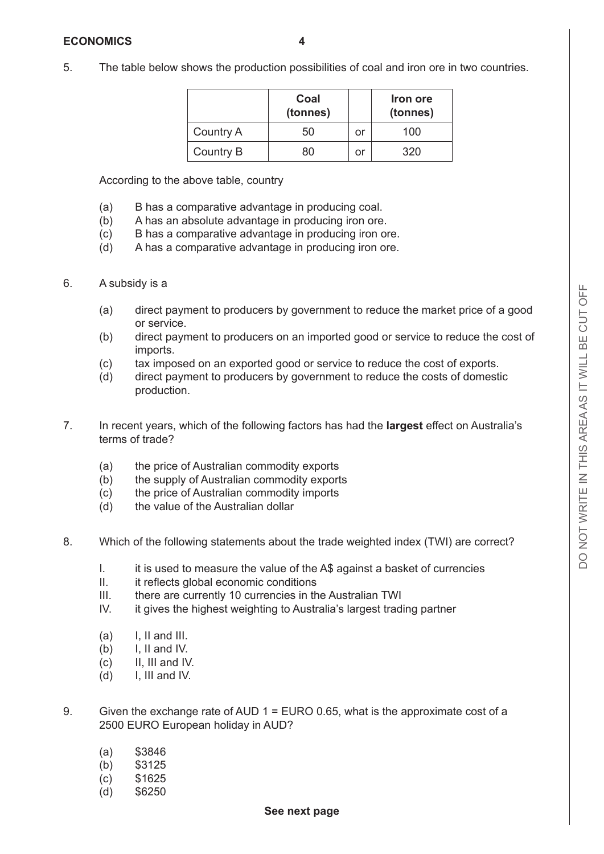- 
- 5. The table below shows the production possibilities of coal and iron ore in two countries.

|                  | Coal<br>(tonnes) |    | Iron ore<br>(tonnes) |
|------------------|------------------|----|----------------------|
| <b>Country A</b> | 50               | or | 100                  |
| Country B        | 80               | Οl | 320                  |

According to the above table, country

- (a) B has a comparative advantage in producing coal.
- (b) A has an absolute advantage in producing iron ore.
- (c) B has a comparative advantage in producing iron ore.
- (d) A has a comparative advantage in producing iron ore.

#### 6. A subsidy is a

- (a) direct payment to producers by government to reduce the market price of a good or service.
- (b) direct payment to producers on an imported good or service to reduce the cost of imports.
- (c) tax imposed on an exported good or service to reduce the cost of exports.
- (d) direct payment to producers by government to reduce the costs of domestic production.
- 7. In recent years, which of the following factors has had the **largest** effect on Australia's terms of trade?
	- (a) the price of Australian commodity exports
	- (b) the supply of Australian commodity exports
	- (c) the price of Australian commodity imports
	- (d) the value of the Australian dollar
- 8. Which of the following statements about the trade weighted index (TWI) are correct?
	- I. it is used to measure the value of the A\$ against a basket of currencies
	- II. it reflects global economic conditions
	- III. there are currently 10 currencies in the Australian TWI
	- IV. it gives the highest weighting to Australia's largest trading partner
	- $(a)$  I, II and III.
	- $(b)$  I, II and IV.
	- $(c)$  II, III and IV.
	- $(d)$  I, III and IV.
- 9. Given the exchange rate of AUD 1 = EURO 0.65, what is the approximate cost of a 2500 EURO European holiday in AUD?
	- (a) \$3846
	- (b) \$3125
	- (c) \$1625
	- (d) \$6250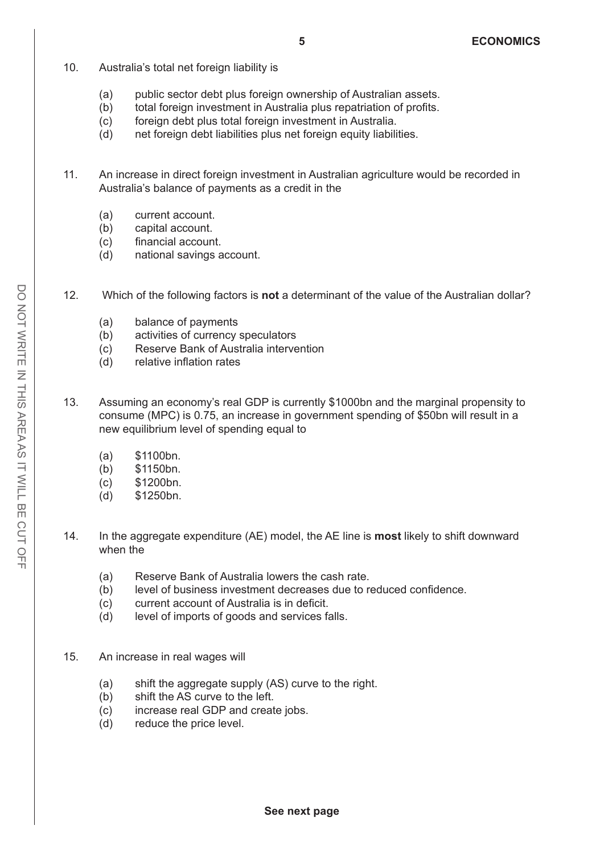- 10. Australia's total net foreign liability is
	- (a) public sector debt plus foreign ownership of Australian assets.
	- (b) total foreign investment in Australia plus repatriation of profits.
	- (c) foreign debt plus total foreign investment in Australia.
	- (d) net foreign debt liabilities plus net foreign equity liabilities.
- 11. An increase in direct foreign investment in Australian agriculture would be recorded in Australia's balance of payments as a credit in the
	- (a) current account.
	- (b) capital account.
	- (c) financial account.
	- (d) national savings account.
- 12. Which of the following factors is **not** a determinant of the value of the Australian dollar?
	- (a) balance of payments
	- (b) activities of currency speculators
	- (c) Reserve Bank of Australia intervention
	- (d) relative inflation rates
- 13. Assuming an economy's real GDP is currently \$1000bn and the marginal propensity to consume (MPC) is 0.75, an increase in government spending of \$50bn will result in a new equilibrium level of spending equal to
	- (a) \$1100bn.
	- (b) \$1150bn.
	- (c) \$1200bn.
	- (d) \$1250bn.
- 14. In the aggregate expenditure (AE) model, the AE line is **most** likely to shift downward when the
	- (a) Reserve Bank of Australia lowers the cash rate.
	- (b) level of business investment decreases due to reduced confidence.
	- (c) current account of Australia is in deficit.
	- (d) level of imports of goods and services falls.
- 15. An increase in real wages will
	- (a) shift the aggregate supply (AS) curve to the right.
	- (b) shift the AS curve to the left.
	- (c) increase real GDP and create jobs.
	- (d) reduce the price level.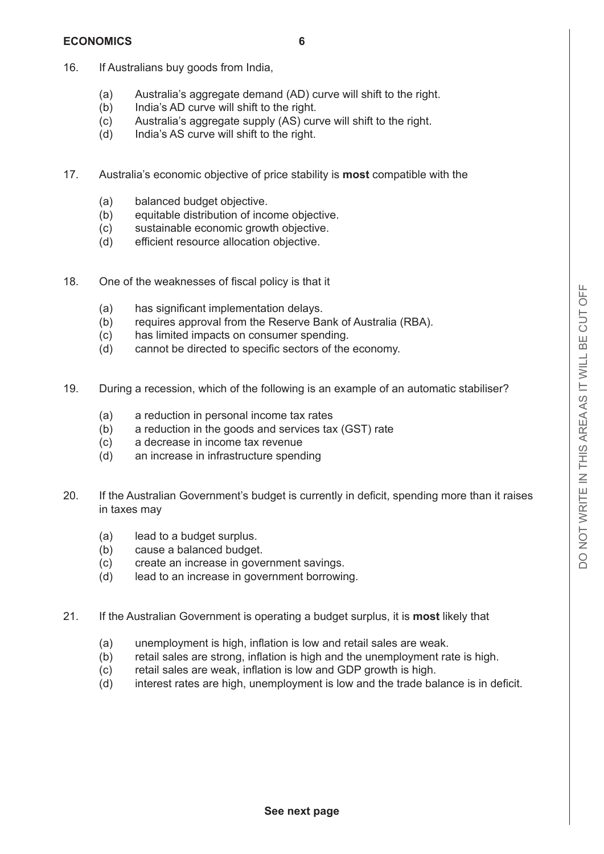#### **ECONOMICS 6**

- 
- 16. If Australians buy goods from India,
	- (a) Australia's aggregate demand (AD) curve will shift to the right.
	- (b) India's AD curve will shift to the right.
	- (c) Australia's aggregate supply (AS) curve will shift to the right.
	- (d) India's AS curve will shift to the right.
- 17. Australia's economic objective of price stability is **most** compatible with the
	- (a) balanced budget objective.
	- (b) equitable distribution of income objective.
	- (c) sustainable economic growth objective.
	- (d) efficient resource allocation objective.
- 18. One of the weaknesses of fiscal policy is that it
	- (a) has significant implementation delays.
	- (b) requires approval from the Reserve Bank of Australia (RBA).
	- (c) has limited impacts on consumer spending.
	- (d) cannot be directed to specific sectors of the economy.
- 19. During a recession, which of the following is an example of an automatic stabiliser?
	- (a) a reduction in personal income tax rates
	- (b) a reduction in the goods and services tax (GST) rate
	- (c) a decrease in income tax revenue
	- (d) an increase in infrastructure spending
- 20. If the Australian Government's budget is currently in deficit, spending more than it raises in taxes may
	- (a) lead to a budget surplus.
	- (b) cause a balanced budget.
	- (c) create an increase in government savings.
	- (d) lead to an increase in government borrowing.
- 21. If the Australian Government is operating a budget surplus, it is **most** likely that
	- (a) unemployment is high, inflation is low and retail sales are weak.
	- (b) retail sales are strong, inflation is high and the unemployment rate is high.
	- (c) retail sales are weak, inflation is low and GDP growth is high.
	- (d) interest rates are high, unemployment is low and the trade balance is in deficit.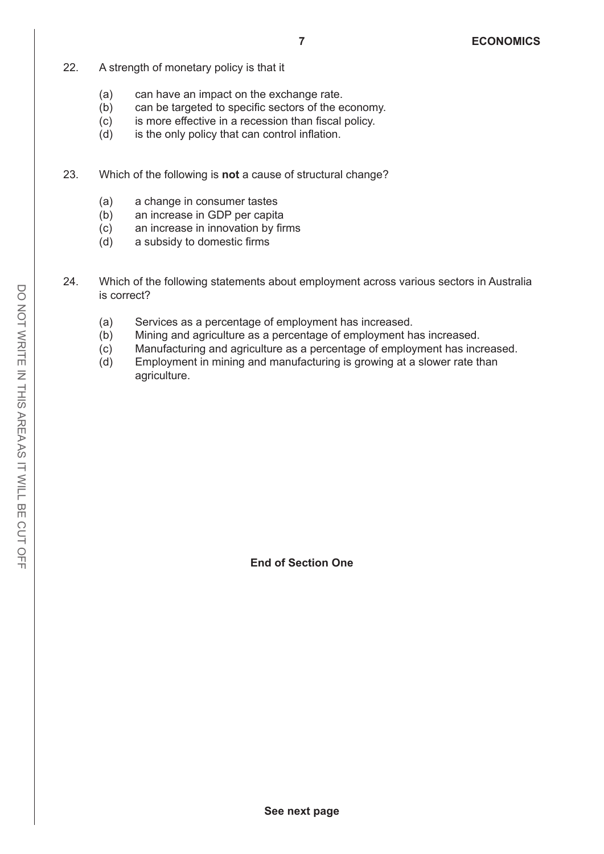- 22. A strength of monetary policy is that it
	- (a) can have an impact on the exchange rate.
	- (b) can be targeted to specific sectors of the economy.
	- (c) is more effective in a recession than fiscal policy.
	- (d) is the only policy that can control inflation.
- 23. Which of the following is **not** a cause of structural change?
	- (a) a change in consumer tastes
	- (b) an increase in GDP per capita
	- (c) an increase in innovation by firms
	- (d) a subsidy to domestic firms
- 24. Which of the following statements about employment across various sectors in Australia is correct?
	- (a) Services as a percentage of employment has increased.
	- (b) Mining and agriculture as a percentage of employment has increased.
	- (c) Manufacturing and agriculture as a percentage of employment has increased.
	- (d) Employment in mining and manufacturing is growing at a slower rate than agriculture.

**End of Section One**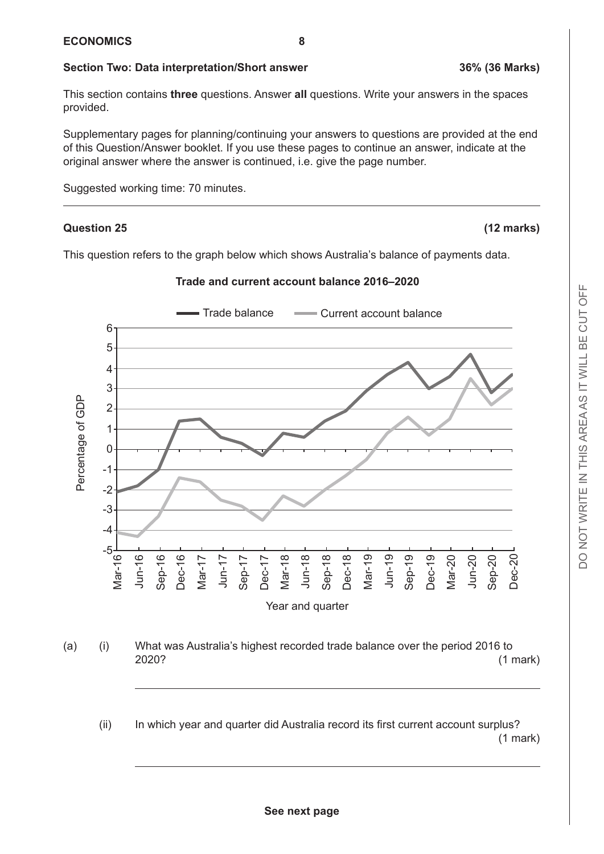#### **Section Two: Data interpretation/Short answer 36% (36 Marks)**

This section contains **three** questions. Answer **all** questions. Write your answers in the spaces provided.

Supplementary pages for planning/continuing your answers to questions are provided at the end of this Question/Answer booklet. If you use these pages to continue an answer, indicate at the original answer where the answer is continued, i.e. give the page number.

Suggested working time: 70 minutes.

#### **Question 25 (12 marks)**

This question refers to the graph below which shows Australia's balance of payments data.

#### Trade balance **Current account balance**  $6<sup>6</sup>$  $\overline{\phantom{0}}$ 4.0 4  $\overline{\phantom{a}}$ Percentage of GDP Percentage of GDP  $\overline{\phantom{0}}$ centage of GD  $\overline{\phantom{0}}$  $\overline{\mathbf{0}}$  $-1$  $-2$ -3.0 -3 -4.0 -4 -5.0 -5 Mar-16 Jun-16 Sep-16 Dec-16 Mar-17 Jun-17 Sep-17 Dec-17 Mar-18 Jun-18 Sep-18 Dec-18 Mar-19 Jun-19 Sep-19 Dec-19 Mar-20 Dec-20 Jun-20 Sep-20 Year and quarter

**Trade and current account balance 2016–2020** 

- (a) (i) What was Australia's highest recorded trade balance over the period 2016 to Growth domestic product, chain volume measures, seasonally adjusted 2020? (1 mark)
	- (ii) In which year and quarter did Australia record its first current account surplus? (1 mark)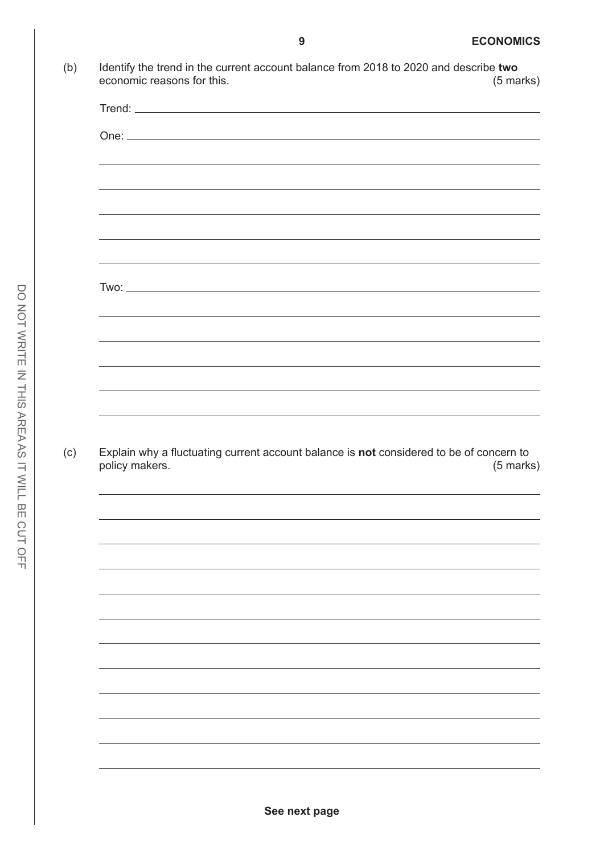| economic reasons for this. |                                                                                                                                                                                                                                      |                                                                                                                      |             |
|----------------------------|--------------------------------------------------------------------------------------------------------------------------------------------------------------------------------------------------------------------------------------|----------------------------------------------------------------------------------------------------------------------|-------------|
|                            |                                                                                                                                                                                                                                      |                                                                                                                      |             |
|                            |                                                                                                                                                                                                                                      |                                                                                                                      |             |
|                            | ,我们也不会有什么。""我们的人,我们也不会有什么?""我们的人,我们也不会有什么?""我们的人,我们也不会有什么?""我们的人,我们也不会有什么?""我们的人                                                                                                                                                     |                                                                                                                      |             |
|                            | <u>and the contract of the contract of the contract of the contract of the contract of the contract of the contract of the contract of the contract of the contract of the contract of the contract of the contract of the contr</u> |                                                                                                                      |             |
|                            |                                                                                                                                                                                                                                      |                                                                                                                      |             |
|                            |                                                                                                                                                                                                                                      |                                                                                                                      |             |
|                            |                                                                                                                                                                                                                                      |                                                                                                                      |             |
|                            |                                                                                                                                                                                                                                      |                                                                                                                      |             |
|                            |                                                                                                                                                                                                                                      |                                                                                                                      |             |
|                            |                                                                                                                                                                                                                                      | <u> 1989 - Andrea Santa Alemania, amerikana amerikana amerikana amerikana amerikana amerikana amerikana amerikan</u> |             |
|                            |                                                                                                                                                                                                                                      | <u> 1989 - Johann Stoff, amerikansk politiker (* 1908)</u>                                                           |             |
|                            |                                                                                                                                                                                                                                      |                                                                                                                      |             |
|                            |                                                                                                                                                                                                                                      |                                                                                                                      |             |
|                            |                                                                                                                                                                                                                                      |                                                                                                                      |             |
|                            |                                                                                                                                                                                                                                      |                                                                                                                      |             |
| policy makers.             | Explain why a fluctuating current account balance is not considered to be of concern to                                                                                                                                              |                                                                                                                      | $(5$ marks) |
|                            |                                                                                                                                                                                                                                      |                                                                                                                      |             |
|                            |                                                                                                                                                                                                                                      |                                                                                                                      |             |
|                            |                                                                                                                                                                                                                                      |                                                                                                                      |             |
|                            |                                                                                                                                                                                                                                      |                                                                                                                      |             |
|                            |                                                                                                                                                                                                                                      |                                                                                                                      |             |
|                            |                                                                                                                                                                                                                                      |                                                                                                                      |             |
|                            |                                                                                                                                                                                                                                      |                                                                                                                      |             |
|                            |                                                                                                                                                                                                                                      |                                                                                                                      |             |
|                            |                                                                                                                                                                                                                                      |                                                                                                                      |             |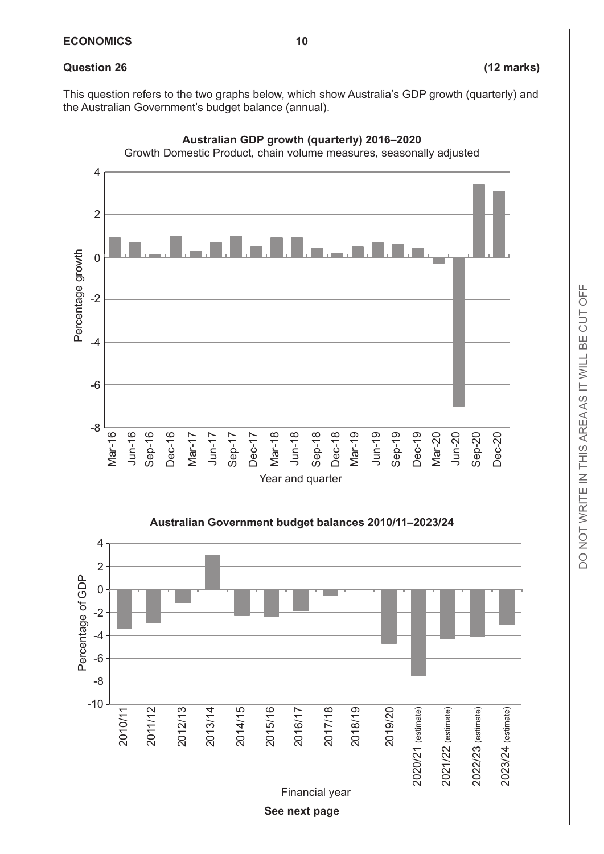#### **Question 26 (12 marks)**

This question refers to the two graphs below, which show Australia's GDP growth (quarterly) and the Australian Government's budget balance (annual).





**See next page**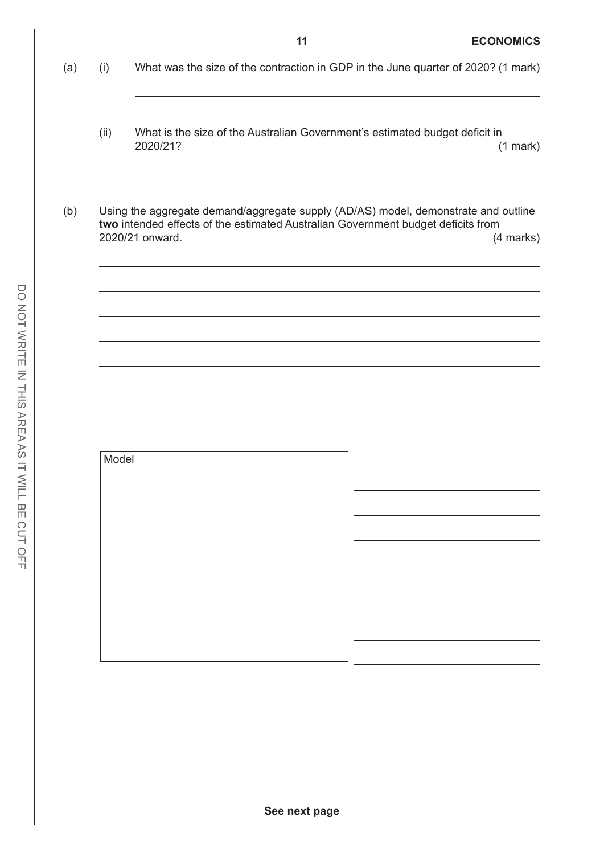- (a) (i) What was the size of the contraction in GDP in the June quarter of 2020? (1 mark)
	- (ii) What is the size of the Australian Government's estimated budget deficit in 2020/21? (1 mark)
- (b) Using the aggregate demand/aggregate supply (AD/AS) model, demonstrate and outline **two** intended effects of the estimated Australian Government budget deficits from 2020/21 onward. (4 marks)

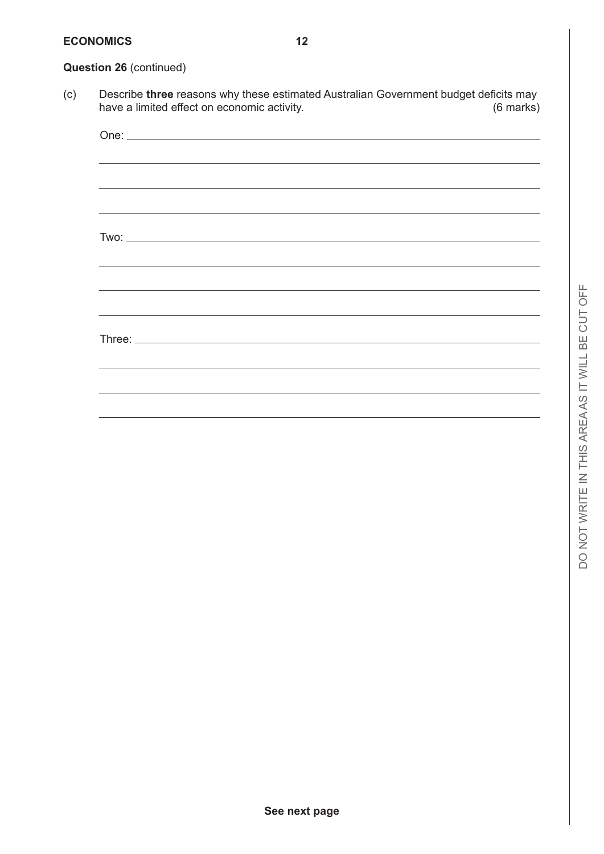#### **ECONOMICS 12**

#### **Question 26** (continued)

(c) Describe **three** reasons why these estimated Australian Government budget deficits may have a limited effect on economic activity.

|  |  | ,我们也不会有什么?""我们的人,我们也不会有什么?""我们的人,我们也不会有什么?""我们的人,我们也不会有什么?""我们的人,我们也不会有什么?""我们的人 |
|--|--|----------------------------------------------------------------------------------|
|  |  |                                                                                  |
|  |  |                                                                                  |
|  |  |                                                                                  |
|  |  |                                                                                  |
|  |  |                                                                                  |
|  |  |                                                                                  |
|  |  |                                                                                  |
|  |  |                                                                                  |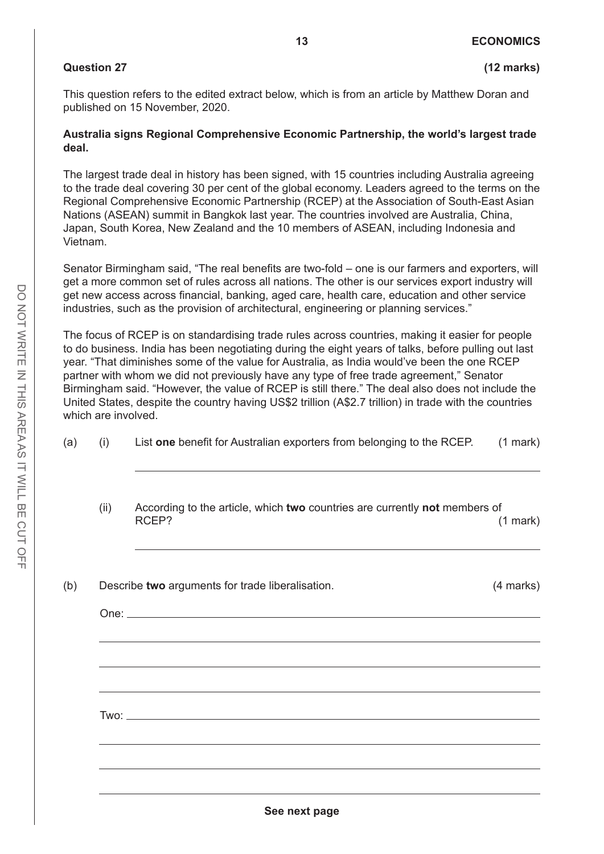#### **Question 27 (12 marks)**

This question refers to the edited extract below, which is from an article by Matthew Doran and published on 15 November, 2020.

#### **Australia signs Regional Comprehensive Economic Partnership, the world's largest trade deal.**

The largest trade deal in history has been signed, with 15 countries including Australia agreeing to the trade deal covering 30 per cent of the global economy. Leaders agreed to the terms on the Regional Comprehensive Economic Partnership (RCEP) at the Association of South-East Asian Nations (ASEAN) summit in Bangkok last year. The countries involved are Australia, China, Japan, South Korea, New Zealand and the 10 members of ASEAN, including Indonesia and Vietnam.

Senator Birmingham said, "The real benefits are two-fold – one is our farmers and exporters, will get a more common set of rules across all nations. The other is our services export industry will get new access across financial, banking, aged care, health care, education and other service industries, such as the provision of architectural, engineering or planning services."

The focus of RCEP is on standardising trade rules across countries, making it easier for people to do business. India has been negotiating during the eight years of talks, before pulling out last year. "That diminishes some of the value for Australia, as India would've been the one RCEP partner with whom we did not previously have any type of free trade agreement," Senator Birmingham said. "However, the value of RCEP is still there." The deal also does not include the United States, despite the country having US\$2 trillion (A\$2.7 trillion) in trade with the countries which are involved.

| (a) (i) | List one benefit for Australian exporters from belonging to the RCEP. | (1 mark) |
|---------|-----------------------------------------------------------------------|----------|
|         |                                                                       |          |

(ii) According to the article, which **two** countries are currently **not** members of RCEP? (1 mark)

| Describe two arguments for trade liberalisation.                                 | (4 marks) |
|----------------------------------------------------------------------------------|-----------|
|                                                                                  |           |
| ,我们也不会有什么。""我们的人,我们也不会有什么?""我们的人,我们也不会有什么?""我们的人,我们也不会有什么?""我们的人,我们也不会有什么?""我们的人 |           |
|                                                                                  |           |
|                                                                                  |           |
|                                                                                  |           |
|                                                                                  |           |
|                                                                                  |           |
|                                                                                  |           |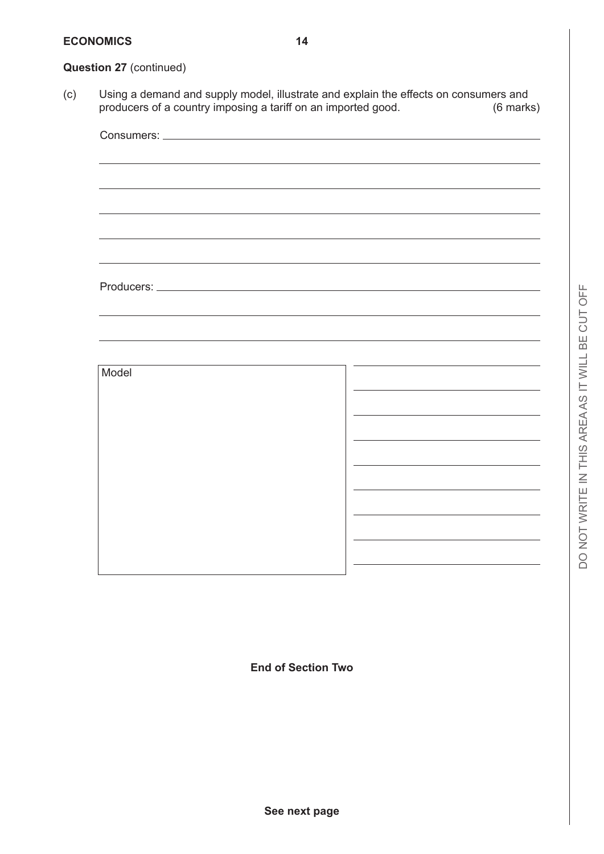#### **Question 27** (continued)

(c) Using a demand and supply model, illustrate and explain the effects on consumers and producers of a country imposing a tariff on an imported good. (6 marks)



**End of Section Two**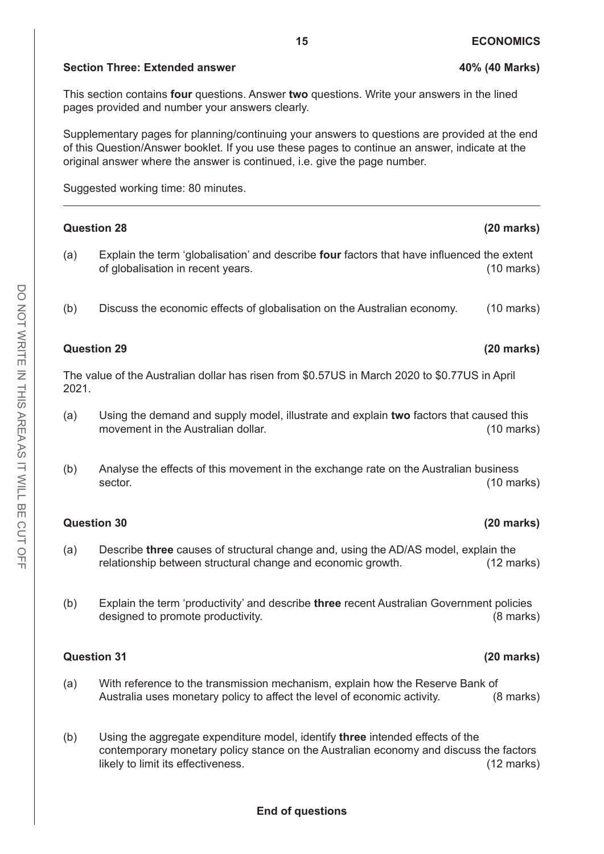#### **Section Three: Extended answer 100% (40 Marks)**

This section contains **four** questions. Answer **two** questions. Write your answers in the lined pages provided and number your answers clearly.

Supplementary pages for planning/continuing your answers to questions are provided at the end of this Question/Answer booklet. If you use these pages to continue an answer, indicate at the original answer where the answer is continued, i.e. give the page number.

Suggested working time: 80 minutes.

|       | <b>Question 28</b>                                                                                                                                                                                           | $(20$ marks)         |
|-------|--------------------------------------------------------------------------------------------------------------------------------------------------------------------------------------------------------------|----------------------|
| (a)   | Explain the term 'globalisation' and describe four factors that have influenced the extent<br>of globalisation in recent years.                                                                              | $(10 \text{ marks})$ |
| (b)   | Discuss the economic effects of globalisation on the Australian economy.                                                                                                                                     | $(10 \text{ marks})$ |
|       | <b>Question 29</b>                                                                                                                                                                                           | $(20$ marks)         |
| 2021. | The value of the Australian dollar has risen from \$0.57US in March 2020 to \$0.77US in April                                                                                                                |                      |
| (a)   | Using the demand and supply model, illustrate and explain two factors that caused this<br>movement in the Australian dollar.                                                                                 | $(10 \text{ marks})$ |
| (b)   | Analyse the effects of this movement in the exchange rate on the Australian business<br>sector.                                                                                                              | $(10 \text{ marks})$ |
|       | <b>Question 30</b>                                                                                                                                                                                           | $(20$ marks)         |
| (a)   | Describe three causes of structural change and, using the AD/AS model, explain the<br>relationship between structural change and economic growth.                                                            | $(12 \text{ marks})$ |
| (b)   | Explain the term 'productivity' and describe three recent Australian Government policies<br>designed to promote productivity.                                                                                | $(8$ marks)          |
|       | <b>Question 31</b>                                                                                                                                                                                           | $(20$ marks)         |
| (a)   | With reference to the transmission mechanism, explain how the Reserve Bank of<br>Australia uses monetary policy to affect the level of economic activity.                                                    | $(8 \text{ marks})$  |
| (b)   | Using the aggregate expenditure model, identify three intended effects of the<br>contemporary monetary policy stance on the Australian economy and discuss the factors<br>likely to limit its effectiveness. | $(12 \text{ marks})$ |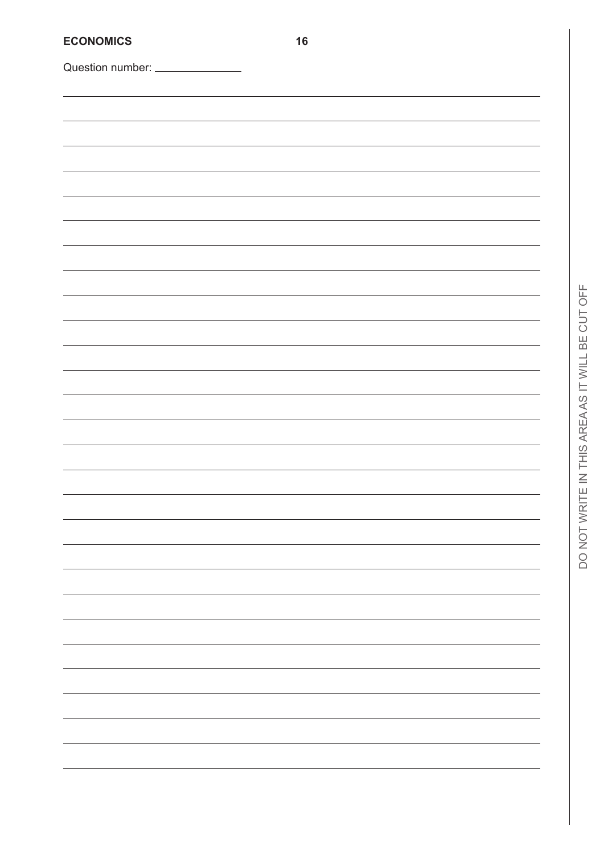| <b>ECONOMICS</b>   | 16 |  |
|--------------------|----|--|
| Question number: _ |    |  |
|                    |    |  |
|                    |    |  |
|                    |    |  |
|                    |    |  |
|                    |    |  |
|                    |    |  |
|                    |    |  |
|                    |    |  |
|                    |    |  |
|                    |    |  |
|                    |    |  |
|                    |    |  |
|                    |    |  |
|                    |    |  |
|                    |    |  |
|                    |    |  |
|                    |    |  |
|                    |    |  |
|                    |    |  |
|                    |    |  |
|                    |    |  |
|                    |    |  |
|                    |    |  |
|                    |    |  |
|                    |    |  |
|                    |    |  |
|                    |    |  |
|                    |    |  |
|                    |    |  |
|                    |    |  |
|                    |    |  |
|                    |    |  |
|                    |    |  |
|                    |    |  |
|                    |    |  |
|                    |    |  |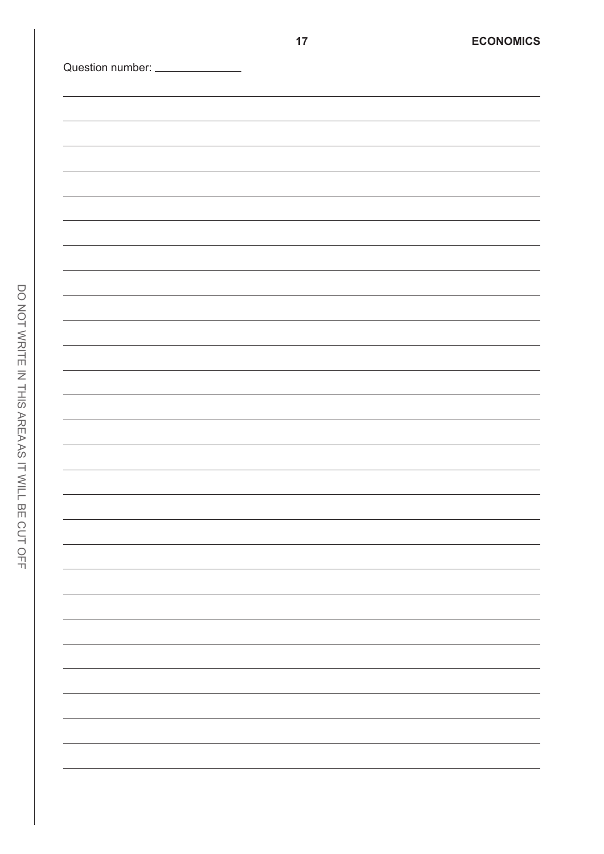| DO NOT WRITE IN THIS AREA AS IT WILL B |  |
|----------------------------------------|--|
|                                        |  |
|                                        |  |
|                                        |  |
|                                        |  |
|                                        |  |
|                                        |  |
| E CUT OFF                              |  |
|                                        |  |
|                                        |  |
|                                        |  |
|                                        |  |
|                                        |  |
|                                        |  |
|                                        |  |

<u> 1989 - Johann Barn, mars an t-Amerikaansk ferske</u>

<u> 1980 - Johann Barbara, martxa a</u>

<u> 1989 - Johann Barn, mars ann an t-</u>

 $\overline{\phantom{0}}$ 

 $\overline{a}$ 

 $\overline{\phantom{0}}$ 

 $\overline{\phantom{a}}$ 

 $\overline{\phantom{0}}$ 

 $\overline{\phantom{a}}$ 

 $\overline{a}$ 

 $\overline{\phantom{a}}$ 

 $\overline{\phantom{0}}$ 

 $\overline{\phantom{0}}$ 

 $\overline{\phantom{0}}$ 

 $\overline{\phantom{0}}$ 

 $\overline{\phantom{0}}$ 

 $\overline{\phantom{0}}$ 

 $\overline{\phantom{0}}$ 

 $\overline{\phantom{a}}$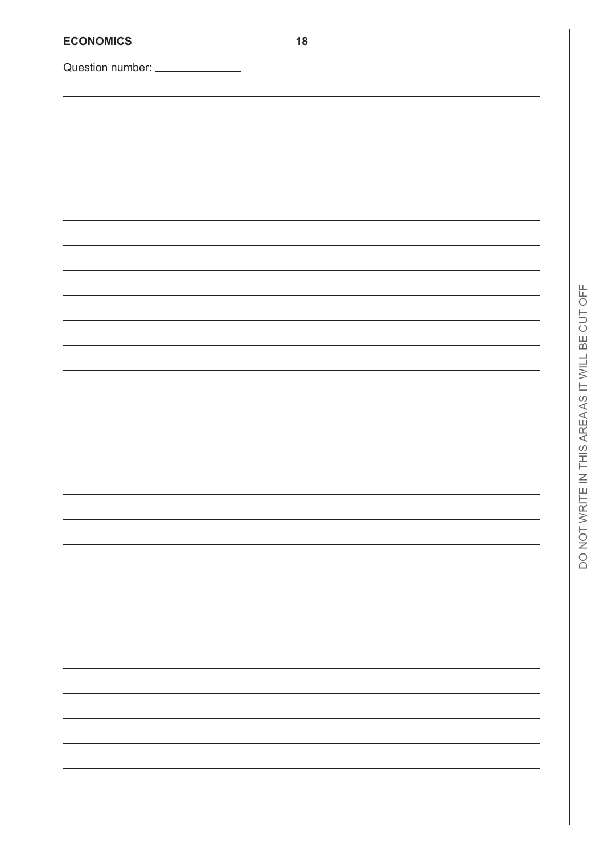| <b>ECONOMICS</b> | 18 |
|------------------|----|
| Question number: |    |
|                  |    |
|                  |    |
|                  |    |
|                  |    |
|                  |    |
|                  |    |
|                  |    |
|                  |    |
|                  |    |
|                  |    |
|                  |    |
|                  |    |
|                  |    |
|                  |    |
|                  |    |
|                  |    |
|                  |    |
|                  |    |
|                  |    |
|                  |    |
|                  |    |
|                  |    |
|                  |    |
|                  |    |
|                  |    |
|                  |    |
|                  |    |
|                  |    |
|                  |    |
|                  |    |
|                  |    |
|                  |    |
|                  |    |
|                  |    |
|                  |    |
|                  |    |
|                  |    |
|                  |    |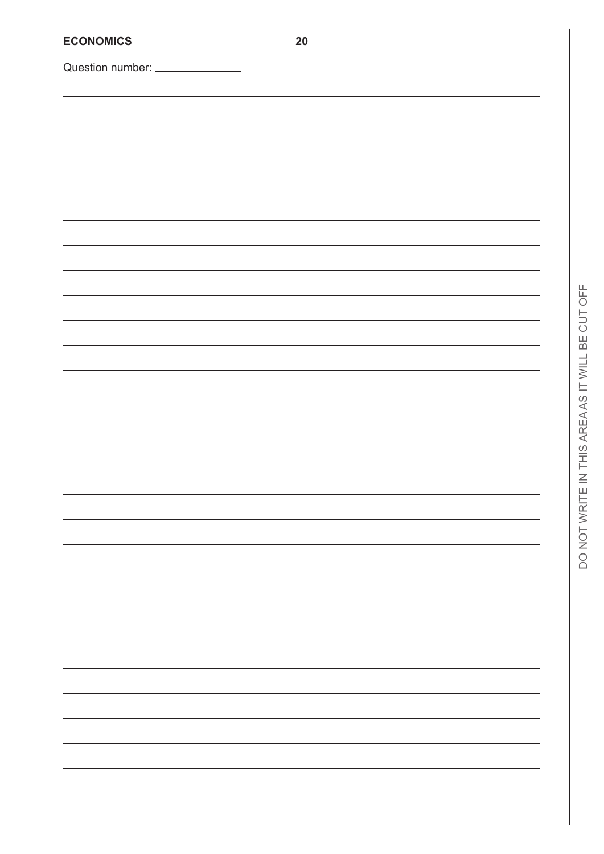| <b>ECONOMICS</b>                | $20\,$ |
|---------------------------------|--------|
| Question number: ______________ |        |
|                                 |        |
|                                 |        |
|                                 |        |
|                                 |        |
|                                 |        |
|                                 |        |
|                                 |        |
|                                 |        |
|                                 |        |
|                                 |        |
|                                 |        |
|                                 |        |
|                                 |        |
|                                 |        |
|                                 |        |
|                                 |        |
|                                 |        |
|                                 |        |
|                                 |        |
|                                 |        |
|                                 |        |
|                                 |        |
|                                 |        |
|                                 |        |
|                                 |        |
|                                 |        |
|                                 |        |
|                                 |        |
|                                 |        |
|                                 |        |
|                                 |        |
|                                 |        |
|                                 |        |
|                                 |        |
|                                 |        |
|                                 |        |
|                                 |        |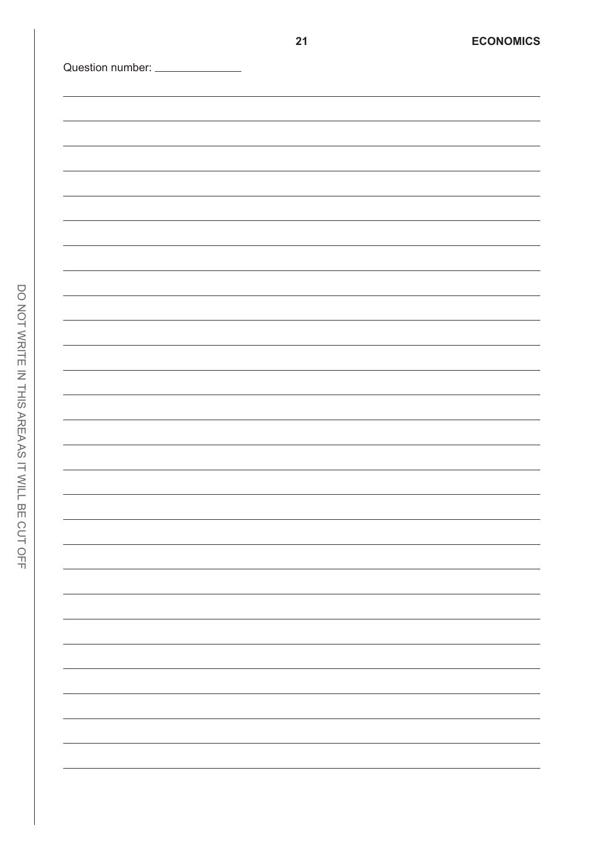| Question number: ______________ |  |  |
|---------------------------------|--|--|
|                                 |  |  |
|                                 |  |  |
|                                 |  |  |
|                                 |  |  |
|                                 |  |  |
|                                 |  |  |
|                                 |  |  |
|                                 |  |  |
|                                 |  |  |
|                                 |  |  |
|                                 |  |  |
|                                 |  |  |
|                                 |  |  |
|                                 |  |  |
|                                 |  |  |
|                                 |  |  |
|                                 |  |  |
|                                 |  |  |
|                                 |  |  |
|                                 |  |  |
|                                 |  |  |
|                                 |  |  |
|                                 |  |  |
|                                 |  |  |
|                                 |  |  |
|                                 |  |  |
|                                 |  |  |
|                                 |  |  |
|                                 |  |  |
|                                 |  |  |
|                                 |  |  |
|                                 |  |  |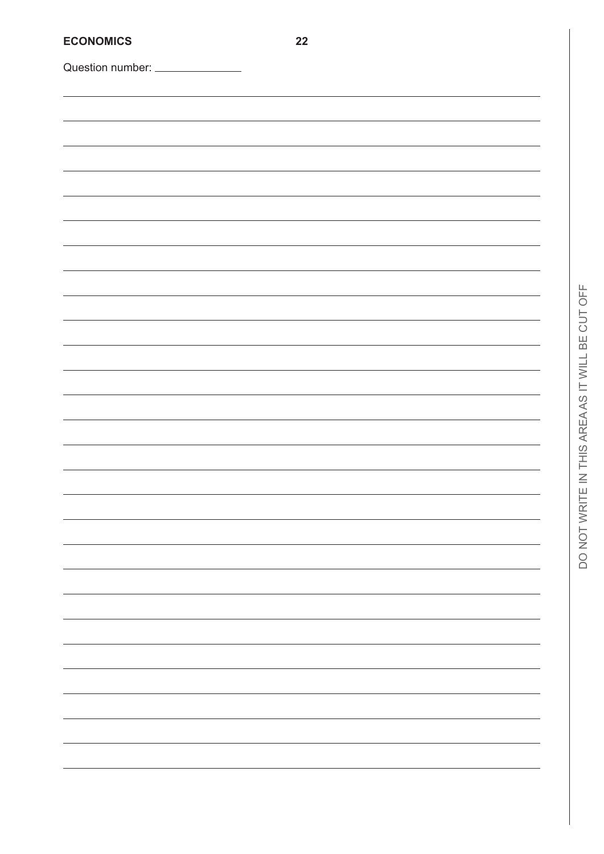| <b>ECONOMICS</b>                | 22 |  |
|---------------------------------|----|--|
| Question number: ______________ |    |  |
|                                 |    |  |
|                                 |    |  |
|                                 |    |  |
|                                 |    |  |
|                                 |    |  |
|                                 |    |  |
|                                 |    |  |
|                                 |    |  |
|                                 |    |  |
|                                 |    |  |
|                                 |    |  |
|                                 |    |  |
|                                 |    |  |
|                                 |    |  |
|                                 |    |  |
|                                 |    |  |
|                                 |    |  |
|                                 |    |  |
|                                 |    |  |
|                                 |    |  |
|                                 |    |  |
|                                 |    |  |
|                                 |    |  |
|                                 |    |  |
|                                 |    |  |
|                                 |    |  |
|                                 |    |  |
|                                 |    |  |
|                                 |    |  |
|                                 |    |  |
|                                 |    |  |
|                                 |    |  |
|                                 |    |  |
|                                 |    |  |
|                                 |    |  |
|                                 |    |  |
|                                 |    |  |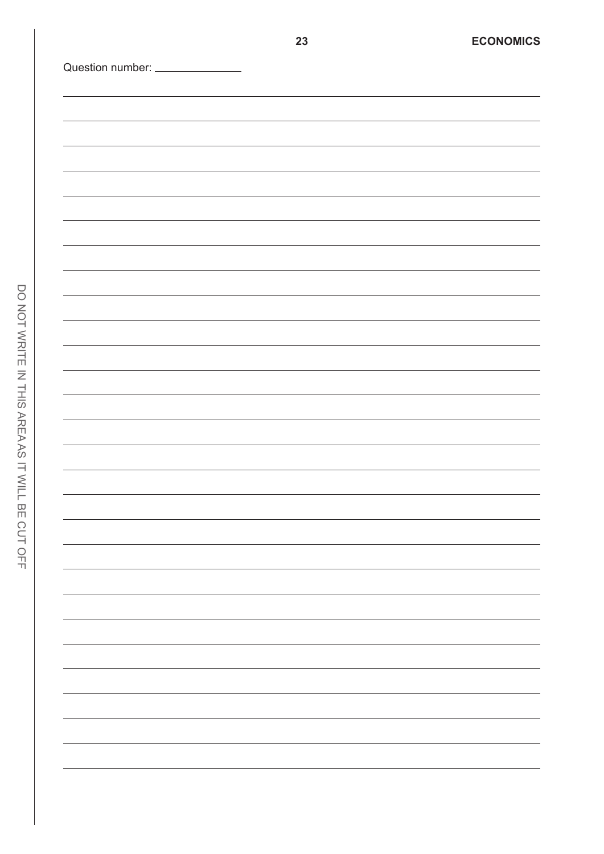| Question number: ______________ |  |  |                                   |
|---------------------------------|--|--|-----------------------------------|
|                                 |  |  |                                   |
|                                 |  |  |                                   |
|                                 |  |  |                                   |
|                                 |  |  |                                   |
|                                 |  |  |                                   |
|                                 |  |  |                                   |
|                                 |  |  |                                   |
|                                 |  |  |                                   |
|                                 |  |  |                                   |
|                                 |  |  |                                   |
|                                 |  |  |                                   |
|                                 |  |  |                                   |
|                                 |  |  |                                   |
|                                 |  |  |                                   |
|                                 |  |  |                                   |
|                                 |  |  |                                   |
|                                 |  |  |                                   |
|                                 |  |  |                                   |
|                                 |  |  |                                   |
|                                 |  |  |                                   |
|                                 |  |  |                                   |
|                                 |  |  |                                   |
|                                 |  |  |                                   |
|                                 |  |  |                                   |
|                                 |  |  |                                   |
|                                 |  |  |                                   |
|                                 |  |  | the control of the control of the |
|                                 |  |  |                                   |
|                                 |  |  |                                   |
|                                 |  |  |                                   |
|                                 |  |  |                                   |
|                                 |  |  |                                   |
|                                 |  |  |                                   |
|                                 |  |  |                                   |
|                                 |  |  |                                   |
|                                 |  |  |                                   |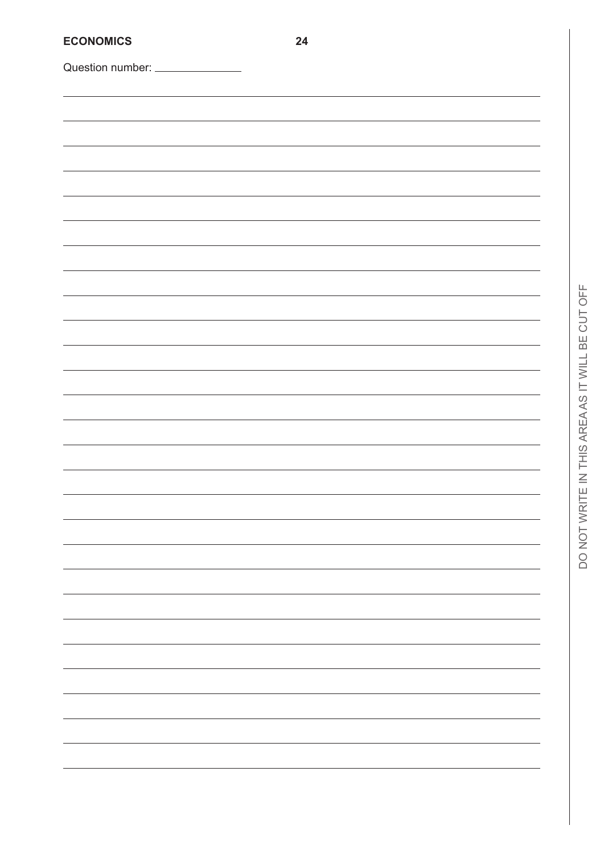| <b>ECONOMICS</b>                | 24 |  |
|---------------------------------|----|--|
| Question number: ______________ |    |  |
|                                 |    |  |
|                                 |    |  |
|                                 |    |  |
|                                 |    |  |
|                                 |    |  |
|                                 |    |  |
|                                 |    |  |
|                                 |    |  |
|                                 |    |  |
|                                 |    |  |
|                                 |    |  |
|                                 |    |  |
|                                 |    |  |
|                                 |    |  |
|                                 |    |  |
|                                 |    |  |
|                                 |    |  |
|                                 |    |  |
|                                 |    |  |
|                                 |    |  |
|                                 |    |  |
|                                 |    |  |
|                                 |    |  |
|                                 |    |  |
|                                 |    |  |
|                                 |    |  |
|                                 |    |  |
|                                 |    |  |
|                                 |    |  |
|                                 |    |  |
|                                 |    |  |
|                                 |    |  |
|                                 |    |  |
|                                 |    |  |
|                                 |    |  |
|                                 |    |  |
|                                 |    |  |
|                                 |    |  |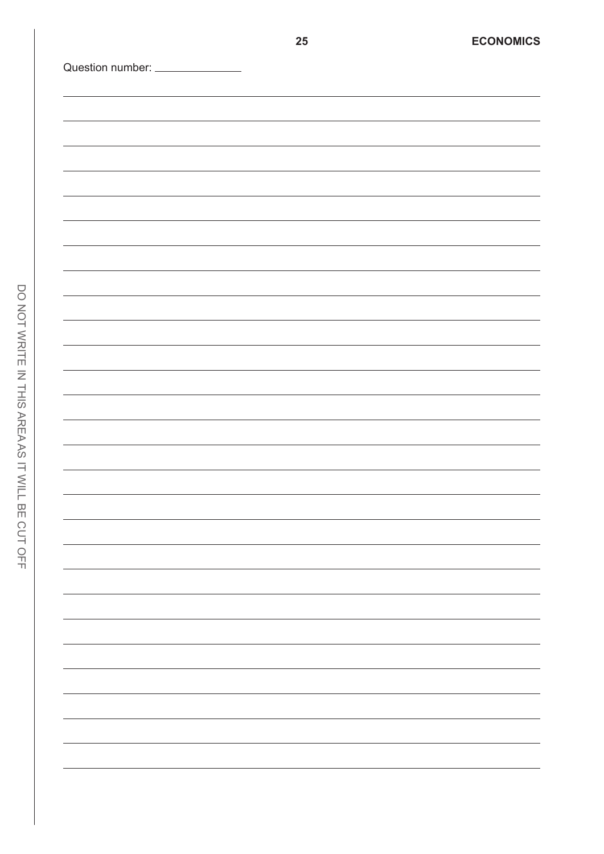| Question number: _______________ |  |  |  |
|----------------------------------|--|--|--|
|                                  |  |  |  |
|                                  |  |  |  |
|                                  |  |  |  |
|                                  |  |  |  |
|                                  |  |  |  |
|                                  |  |  |  |
|                                  |  |  |  |
|                                  |  |  |  |
|                                  |  |  |  |
|                                  |  |  |  |
|                                  |  |  |  |
|                                  |  |  |  |
|                                  |  |  |  |
|                                  |  |  |  |
|                                  |  |  |  |
|                                  |  |  |  |
|                                  |  |  |  |
|                                  |  |  |  |
|                                  |  |  |  |
|                                  |  |  |  |
|                                  |  |  |  |
|                                  |  |  |  |
|                                  |  |  |  |
|                                  |  |  |  |
|                                  |  |  |  |
|                                  |  |  |  |
|                                  |  |  |  |
|                                  |  |  |  |
|                                  |  |  |  |
|                                  |  |  |  |
|                                  |  |  |  |
|                                  |  |  |  |
|                                  |  |  |  |
|                                  |  |  |  |
|                                  |  |  |  |
|                                  |  |  |  |
|                                  |  |  |  |
|                                  |  |  |  |
|                                  |  |  |  |
|                                  |  |  |  |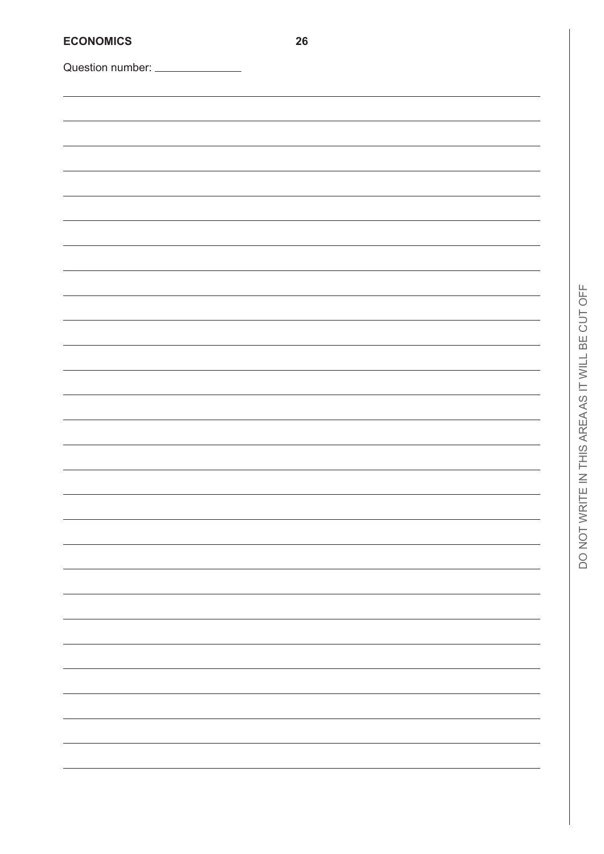| <b>ECONOMICS</b>                | 26 |
|---------------------------------|----|
| Question number: ______________ |    |
|                                 |    |
|                                 |    |
|                                 |    |
|                                 |    |
|                                 |    |
|                                 |    |
|                                 |    |
|                                 |    |
|                                 |    |
|                                 |    |
|                                 |    |
|                                 |    |
|                                 |    |
|                                 |    |
|                                 |    |
|                                 |    |
|                                 |    |
|                                 |    |
|                                 |    |
|                                 |    |
|                                 |    |
|                                 |    |
|                                 |    |
|                                 |    |
|                                 |    |
|                                 |    |
|                                 |    |
|                                 |    |
|                                 |    |
|                                 |    |
|                                 |    |
|                                 |    |
|                                 |    |
|                                 |    |
|                                 |    |
|                                 |    |
|                                 |    |
|                                 |    |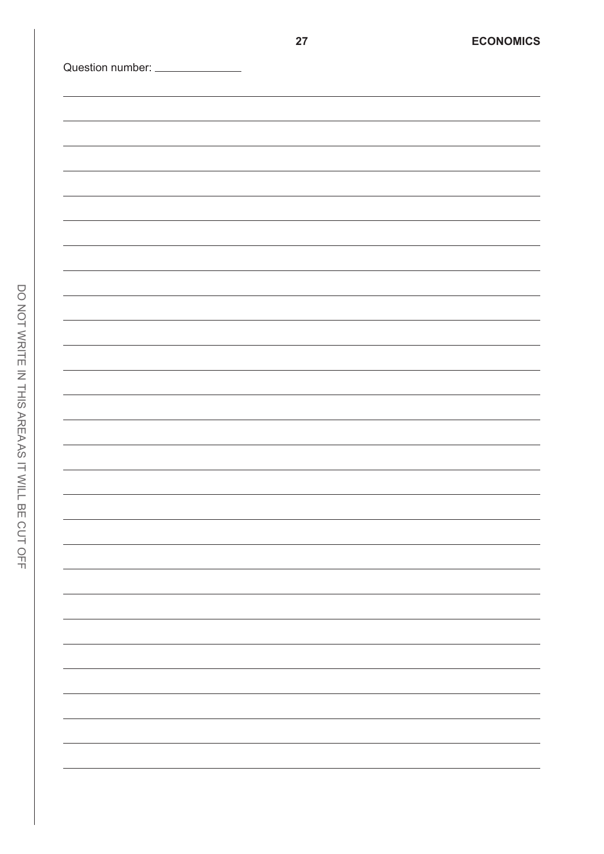| Question number: <u>______________</u> |  |                                              |
|----------------------------------------|--|----------------------------------------------|
|                                        |  |                                              |
|                                        |  |                                              |
|                                        |  |                                              |
|                                        |  |                                              |
|                                        |  |                                              |
|                                        |  |                                              |
|                                        |  |                                              |
|                                        |  |                                              |
|                                        |  |                                              |
|                                        |  |                                              |
|                                        |  |                                              |
|                                        |  |                                              |
|                                        |  |                                              |
|                                        |  |                                              |
|                                        |  |                                              |
|                                        |  |                                              |
|                                        |  |                                              |
|                                        |  |                                              |
|                                        |  | the control of the control of the control of |
|                                        |  |                                              |
|                                        |  | the control of the control of the            |
|                                        |  |                                              |
|                                        |  |                                              |
|                                        |  |                                              |
|                                        |  |                                              |
|                                        |  |                                              |
|                                        |  |                                              |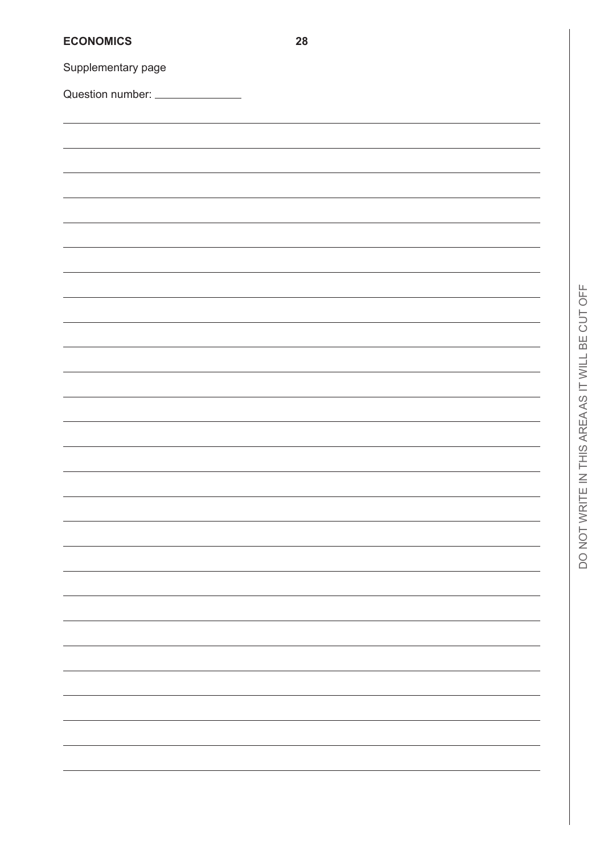| <b>ECONOMICS</b>                | 28 |
|---------------------------------|----|
| Supplementary page              |    |
| Question number: ______________ |    |
|                                 |    |
|                                 |    |
|                                 |    |
|                                 |    |
|                                 |    |
|                                 |    |
|                                 |    |
|                                 |    |
|                                 |    |
|                                 |    |
|                                 |    |
|                                 |    |
|                                 |    |
|                                 |    |
|                                 |    |
|                                 |    |
|                                 |    |
|                                 |    |
|                                 |    |
|                                 |    |
|                                 |    |
|                                 |    |
|                                 |    |
|                                 |    |
|                                 |    |
|                                 |    |
|                                 |    |
|                                 |    |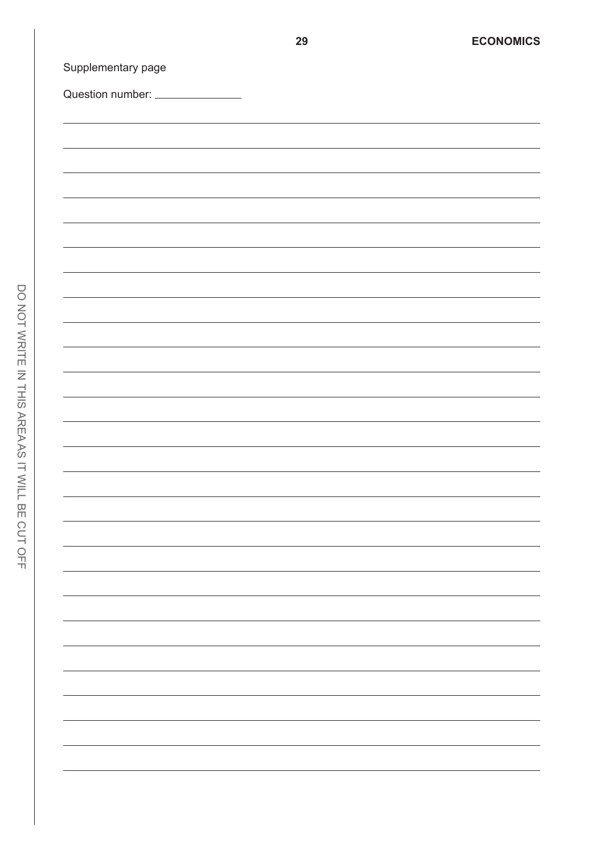| Question number: ______________ |  |  |
|---------------------------------|--|--|
|                                 |  |  |
|                                 |  |  |
|                                 |  |  |
|                                 |  |  |
|                                 |  |  |
|                                 |  |  |
|                                 |  |  |
|                                 |  |  |
|                                 |  |  |
|                                 |  |  |
|                                 |  |  |
|                                 |  |  |
|                                 |  |  |
|                                 |  |  |
|                                 |  |  |
|                                 |  |  |
|                                 |  |  |
|                                 |  |  |
|                                 |  |  |
|                                 |  |  |
|                                 |  |  |
|                                 |  |  |
|                                 |  |  |
|                                 |  |  |
|                                 |  |  |
|                                 |  |  |
|                                 |  |  |
|                                 |  |  |
|                                 |  |  |
|                                 |  |  |
|                                 |  |  |
|                                 |  |  |
|                                 |  |  |
|                                 |  |  |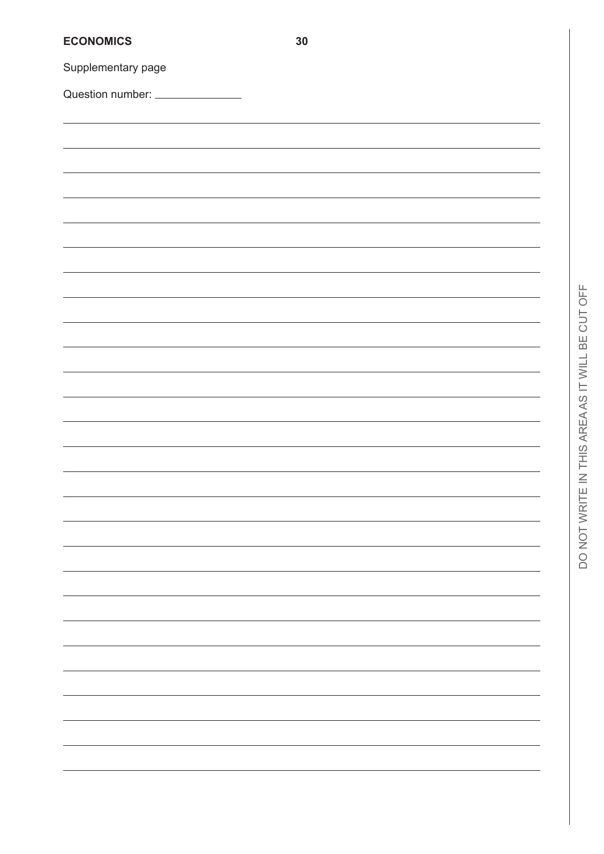| <b>ECONOMICS</b>                | 30 |
|---------------------------------|----|
| Supplementary page              |    |
| Question number: ______________ |    |
|                                 |    |
|                                 |    |
|                                 |    |
|                                 |    |
|                                 |    |
|                                 |    |
|                                 |    |
|                                 |    |
|                                 |    |
|                                 |    |
|                                 |    |
|                                 |    |
|                                 |    |
|                                 |    |
|                                 |    |
|                                 |    |
|                                 |    |
|                                 |    |
|                                 |    |
|                                 |    |
|                                 |    |
|                                 |    |
|                                 |    |
|                                 |    |
|                                 |    |
|                                 |    |
|                                 |    |
|                                 |    |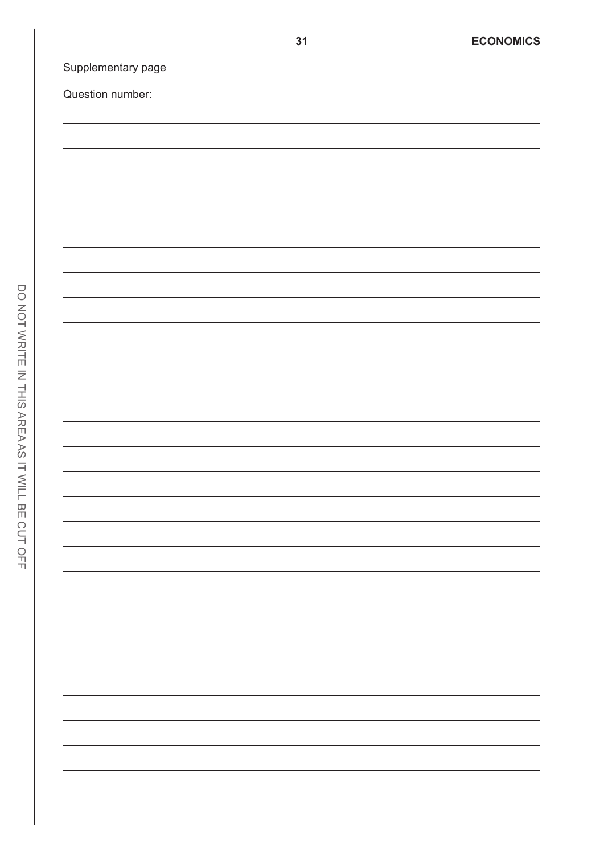| Question number: ______________ |  |  |
|---------------------------------|--|--|
|                                 |  |  |
|                                 |  |  |
|                                 |  |  |
|                                 |  |  |
|                                 |  |  |
|                                 |  |  |
|                                 |  |  |
|                                 |  |  |
|                                 |  |  |
|                                 |  |  |
|                                 |  |  |
|                                 |  |  |
|                                 |  |  |
|                                 |  |  |
|                                 |  |  |
|                                 |  |  |
|                                 |  |  |
|                                 |  |  |
|                                 |  |  |
|                                 |  |  |
|                                 |  |  |
|                                 |  |  |
|                                 |  |  |
|                                 |  |  |
|                                 |  |  |
|                                 |  |  |
|                                 |  |  |
|                                 |  |  |
|                                 |  |  |
|                                 |  |  |
|                                 |  |  |
|                                 |  |  |
|                                 |  |  |
|                                 |  |  |
|                                 |  |  |
|                                 |  |  |